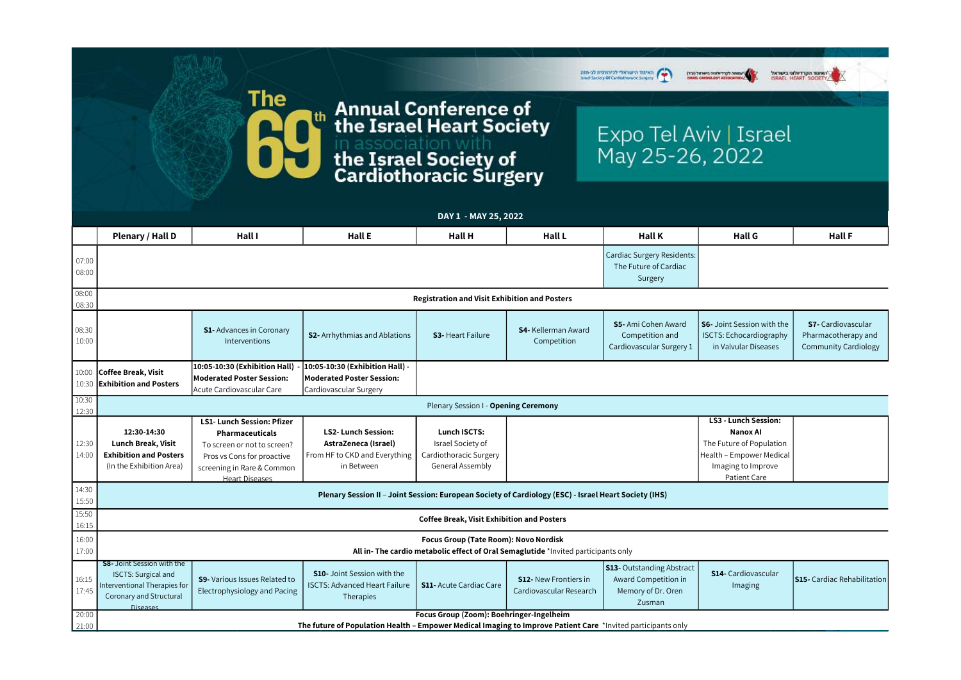

## **Annual Conference of<br>the Israel Heart Society** |th in association with<br>the Israel Society of<br>Cardiothoracic Surgery

**The** 

|                | DAY 1 - MAY 25, 2022                                                                                                                          |                                                                                                                                                                                 |                                                                                                  |                                                                                               |                                                         |                                                                                          |                                                                                                                                                     |                                                                                 |  |
|----------------|-----------------------------------------------------------------------------------------------------------------------------------------------|---------------------------------------------------------------------------------------------------------------------------------------------------------------------------------|--------------------------------------------------------------------------------------------------|-----------------------------------------------------------------------------------------------|---------------------------------------------------------|------------------------------------------------------------------------------------------|-----------------------------------------------------------------------------------------------------------------------------------------------------|---------------------------------------------------------------------------------|--|
|                | Plenary / Hall D                                                                                                                              | Hall I                                                                                                                                                                          | Hall E                                                                                           | <b>Hall H</b>                                                                                 | <b>Hall L</b>                                           | <b>Hall K</b>                                                                            | <b>Hall G</b>                                                                                                                                       | <b>Hall F</b>                                                                   |  |
| 07:00<br>08:00 |                                                                                                                                               |                                                                                                                                                                                 |                                                                                                  |                                                                                               |                                                         | <b>Cardiac Surgery Residents:</b><br>The Future of Cardiac<br>Surgery                    |                                                                                                                                                     |                                                                                 |  |
| 08:00<br>08:30 | <b>Registration and Visit Exhibition and Posters</b>                                                                                          |                                                                                                                                                                                 |                                                                                                  |                                                                                               |                                                         |                                                                                          |                                                                                                                                                     |                                                                                 |  |
| 08:30<br>10:00 |                                                                                                                                               | <b>S1-</b> Advances in Coronary<br>Interventions                                                                                                                                | <b>S2-</b> Arrhythmias and Ablations                                                             | <b>S3-</b> Heart Failure                                                                      | <b>S4-</b> Kellerman Award<br>Competition               | <b>S5-Ami Cohen Award</b><br>Competition and<br>Cardiovascular Surgery 1                 | <b>S6-</b> Joint Session with the<br><b>ISCTS: Echocardiography</b><br>in Valvular Diseases                                                         | <b>S7-</b> Cardiovascular<br>Pharmacotherapy and<br><b>Community Cardiology</b> |  |
| 10:00<br>10:30 | <b>Coffee Break, Visit</b><br><b>Exhibition and Posters</b>                                                                                   | 10:05-10:30 (Exhibition Hall) -<br>Moderated Poster Session:<br>Acute Cardiovascular Care                                                                                       | 10:05-10:30 (Exhibition Hall) -<br>Moderated Poster Session:<br>Cardiovascular Surgery           |                                                                                               |                                                         |                                                                                          |                                                                                                                                                     |                                                                                 |  |
| 10:30<br>12:30 | Plenary Session I - Opening Ceremony                                                                                                          |                                                                                                                                                                                 |                                                                                                  |                                                                                               |                                                         |                                                                                          |                                                                                                                                                     |                                                                                 |  |
| 12:30<br>14:00 | 12:30-14:30<br>Lunch Break, Visit<br><b>Exhibition and Posters</b><br>(In the Exhibition Area)                                                | <b>LS1- Lunch Session: Pfizer</b><br><b>Pharmaceuticals</b><br>To screen or not to screen?<br>Pros vs Cons for proactive<br>screening in Rare & Common<br><b>Heart Diseases</b> | <b>LS2-Lunch Session:</b><br>AstraZeneca (Israel)<br>From HF to CKD and Everything<br>in Between | <b>Lunch ISCTS:</b><br>Israel Society of<br>Cardiothoracic Surgery<br><b>General Assembly</b> |                                                         |                                                                                          | <b>LS3 - Lunch Session:</b><br><b>Nanox Al</b><br>The Future of Population<br>Health - Empower Medical<br>Imaging to Improve<br><b>Patient Care</b> |                                                                                 |  |
| 14:30<br>15:50 | Plenary Session II - Joint Session: European Society of Cardiology (ESC) - Israel Heart Society (IHS)                                         |                                                                                                                                                                                 |                                                                                                  |                                                                                               |                                                         |                                                                                          |                                                                                                                                                     |                                                                                 |  |
| 15:50<br>16:15 | <b>Coffee Break, Visit Exhibition and Posters</b>                                                                                             |                                                                                                                                                                                 |                                                                                                  |                                                                                               |                                                         |                                                                                          |                                                                                                                                                     |                                                                                 |  |
| 16:00<br>17:00 | Focus Group (Tate Room): Novo Nordisk<br>All in-The cardio metabolic effect of Oral Semaglutide *Invited participants only                    |                                                                                                                                                                                 |                                                                                                  |                                                                                               |                                                         |                                                                                          |                                                                                                                                                     |                                                                                 |  |
| 16:15<br>17:45 | <b>S8-</b> Joint Session with the<br><b>ISCTS: Surgical and</b><br>Interventional Therapies for<br><b>Coronary and Structural</b><br>Diseases | <b>S9-</b> Various Issues Related to<br>Electrophysiology and Pacing                                                                                                            | <b>S10-</b> Joint Session with the<br><b>ISCTS: Advanced Heart Failure</b><br>Therapies          | <b>S11- Acute Cardiac Care</b>                                                                | <b>S12-</b> New Frontiers in<br>Cardiovascular Research | <b>S13-</b> Outstanding Abstract<br>Award Competition in<br>Memory of Dr. Oren<br>Zusman | <b>S14-</b> Cardiovascular<br>Imaging                                                                                                               | <b>S15-</b> Cardiac Rehabilitation                                              |  |
| 20:00          | Focus Group (Zoom): Boehringer-Ingelheim                                                                                                      |                                                                                                                                                                                 |                                                                                                  |                                                                                               |                                                         |                                                                                          |                                                                                                                                                     |                                                                                 |  |
| 21:00          | The future of Population Health - Empower Medical Imaging to Improve Patient Care *Invited participants only                                  |                                                                                                                                                                                 |                                                                                                  |                                                                                               |                                                         |                                                                                          |                                                                                                                                                     |                                                                                 |  |

| האיגוד הישראלי לכירורגית לב<br>Saciety Of Cardiotherace Sargery | NEW TWORE DISTURBANCE | .<br>ואינור הקרדיולוגי בישראל<br>SRAEL HEART SOCIETY |               |  |
|-----------------------------------------------------------------|-----------------------|------------------------------------------------------|---------------|--|
| Expo Tel Aviv   Israel<br>May 25-26, 2022                       |                       |                                                      |               |  |
|                                                                 |                       |                                                      |               |  |
| <b>Hall K</b>                                                   | <b>Hall G</b>         |                                                      | <b>Hall F</b> |  |
| <b>Cardiac Surgery Residents:</b>                               |                       |                                                      |               |  |